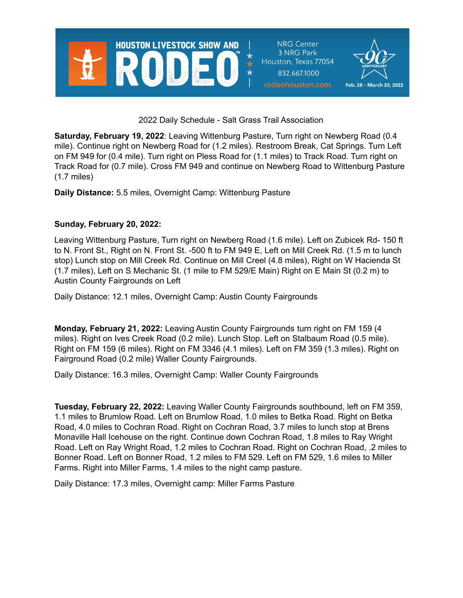

2022 Daily Schedule - Salt Grass Trail Association

**Saturday, February 19, 2022**: Leaving Wittenburg Pasture, Turn right on Newberg Road (0.4 mile). Continue right on Newberg Road for (1.2 miles). Restroom Break, Cat Springs. Turn Left on FM 949 for (0.4 mile). Turn right on Pless Road for (1.1 miles) to Track Road. Turn right on Track Road for (0.7 mile). Cross FM 949 and continue on Newberg Road to Wittenburg Pasture (1.7 miles)

**Daily Distance:** 5.5 miles, Overnight Camp: Wittenburg Pasture

## **Sunday, February 20, 2022:**

Leaving Wittenburg Pasture, Turn right on Newberg Road (1.6 mile). Left on Zubicek Rd- 150 ft to N. Front St., Right on N. Front St. -500 ft to FM 949 E, Left on Mill Creek Rd. (1.5 m to lunch stop) Lunch stop on Mill Creek Rd. Continue on Mill Creel (4.8 miles), Right on W Hacienda St (1.7 miles), Left on S Mechanic St. (1 mile to FM 529/E Main) Right on E Main St (0.2 m) to Austin County Fairgrounds on Left

Daily Distance: 12.1 miles, Overnight Camp: Austin County Fairgrounds

**Monday, February 21, 2022:** Leaving Austin County Fairgrounds turn right on FM 159 (4 miles). Right on Ives Creek Road (0.2 mile). Lunch Stop. Left on Stalbaum Road (0.5 mile). Right on FM 159 (6 miles). Right on FM 3346 (4.1 miles). Left on FM 359 (1.3 miles). Right on Fairground Road (0.2 mile) Waller County Fairgrounds.

Daily Distance: 16.3 miles, Overnight Camp: Waller County Fairgrounds

**Tuesday, February 22, 2022:** Leaving Waller County Fairgrounds southbound, left on FM 359, 1.1 miles to Brumlow Road. Left on Brumlow Road, 1.0 miles to Betka Road. Right on Betka Road, 4.0 miles to Cochran Road. Right on Cochran Road, 3.7 miles to lunch stop at Brens Monaville Hall Icehouse on the right. Continue down Cochran Road, 1.8 miles to Ray Wright Road. Left on Ray Wright Road, 1.2 miles to Cochran Road. Right on Cochran Road, .2 miles to Bonner Road. Left on Bonner Road, 1.2 miles to FM 529. Left on FM 529, 1.6 miles to Miller Farms. Right into Miller Farms, 1.4 miles to the night camp pasture.

Daily Distance: 17.3 miles, Overnight camp: Miller Farms Pasture